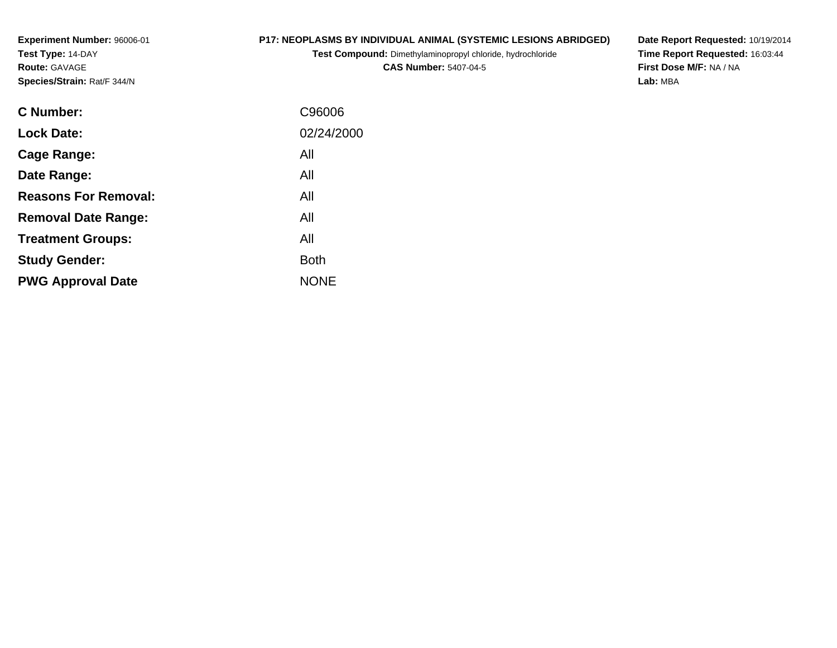**Experiment Number:** 96006-01**Test Type:** 14-DAY**Route:** GAVAGE**Species/Strain:** Rat/F 344/N

## **P17: NEOPLASMS BY INDIVIDUAL ANIMAL (SYSTEMIC LESIONS ABRIDGED)**

**Test Compound:** Dimethylaminopropyl chloride, hydrochloride

**CAS Number:** 5407-04-5

**Date Report Requested:** 10/19/2014 **Time Report Requested:** 16:03:44**First Dose M/F:** NA / NA**Lab:** MBA

| <b>C</b> Number:            | C96006      |
|-----------------------------|-------------|
| <b>Lock Date:</b>           | 02/24/2000  |
| Cage Range:                 | All         |
| Date Range:                 | All         |
| <b>Reasons For Removal:</b> | All         |
| <b>Removal Date Range:</b>  | All         |
| <b>Treatment Groups:</b>    | All         |
| <b>Study Gender:</b>        | <b>Both</b> |
| <b>PWG Approval Date</b>    | <b>NONE</b> |
|                             |             |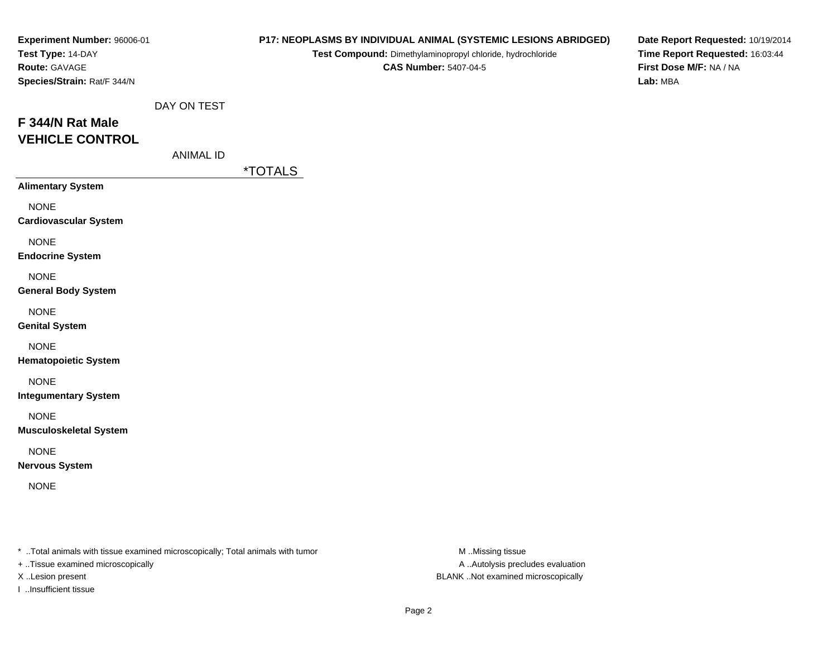| Experiment Number: 96006-01<br>Test Type: 14-DAY<br>Route: GAVAGE<br>Species/Strain: Rat/F 344/N |                                 |                       | P17: NEOPLASMS BY INDIVIDUAL ANIMAL (SYSTEMIC LESIONS ABRIDGED)<br>Test Compound: Dimethylaminopropyl chloride, hydrochloride<br><b>CAS Number: 5407-04-5</b> | Date Report Requested: 10/19/2014<br>Time Report Requested: 16:03:44<br>First Dose M/F: NA / NA<br>Lab: MBA |
|--------------------------------------------------------------------------------------------------|---------------------------------|-----------------------|---------------------------------------------------------------------------------------------------------------------------------------------------------------|-------------------------------------------------------------------------------------------------------------|
| F 344/N Rat Male<br><b>VEHICLE CONTROL</b>                                                       | DAY ON TEST<br><b>ANIMAL ID</b> | <i><b>*TOTALS</b></i> |                                                                                                                                                               |                                                                                                             |
| <b>Alimentary System</b>                                                                         |                                 |                       |                                                                                                                                                               |                                                                                                             |
| <b>NONE</b><br><b>Cardiovascular System</b>                                                      |                                 |                       |                                                                                                                                                               |                                                                                                             |
| <b>NONE</b><br><b>Endocrine System</b>                                                           |                                 |                       |                                                                                                                                                               |                                                                                                             |
| <b>NONE</b><br><b>General Body System</b>                                                        |                                 |                       |                                                                                                                                                               |                                                                                                             |
| <b>NONE</b><br><b>Genital System</b>                                                             |                                 |                       |                                                                                                                                                               |                                                                                                             |
| <b>NONE</b><br><b>Hematopoietic System</b>                                                       |                                 |                       |                                                                                                                                                               |                                                                                                             |
| <b>NONE</b><br><b>Integumentary System</b>                                                       |                                 |                       |                                                                                                                                                               |                                                                                                             |
| <b>NONE</b><br><b>Musculoskeletal System</b>                                                     |                                 |                       |                                                                                                                                                               |                                                                                                             |
| <b>NONE</b><br><b>Nervous System</b>                                                             |                                 |                       |                                                                                                                                                               |                                                                                                             |
| <b>NONE</b>                                                                                      |                                 |                       |                                                                                                                                                               |                                                                                                             |

+ ..Tissue examined microscopically

I ..Insufficient tissue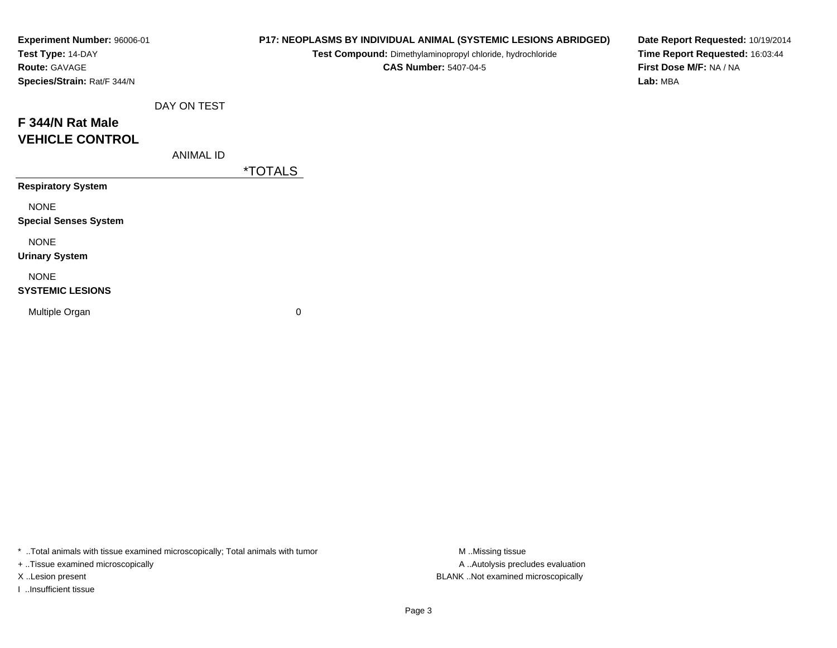| Experiment Number: 96006-01<br>Test Type: 14-DAY<br>Route: GAVAGE<br>Species/Strain: Rat/F 344/N |                  |                       | P17: NEOPLASMS BY INDIVIDUAL ANIMAL (SYSTEMIC LESIONS ABRIDGED)<br>Test Compound: Dimethylaminopropyl chloride, hydrochloride<br><b>CAS Number: 5407-04-5</b> | Date Report Requested: 10/19/2014<br>Time Report Requested: 16:03:44<br>First Dose M/F: NA / NA<br>Lab: MBA |
|--------------------------------------------------------------------------------------------------|------------------|-----------------------|---------------------------------------------------------------------------------------------------------------------------------------------------------------|-------------------------------------------------------------------------------------------------------------|
|                                                                                                  | DAY ON TEST      |                       |                                                                                                                                                               |                                                                                                             |
| F 344/N Rat Male<br><b>VEHICLE CONTROL</b>                                                       |                  |                       |                                                                                                                                                               |                                                                                                             |
|                                                                                                  | <b>ANIMAL ID</b> | <i><b>*TOTALS</b></i> |                                                                                                                                                               |                                                                                                             |
| <b>Respiratory System</b>                                                                        |                  |                       |                                                                                                                                                               |                                                                                                             |
| <b>NONE</b><br><b>Special Senses System</b>                                                      |                  |                       |                                                                                                                                                               |                                                                                                             |
| <b>NONE</b><br><b>Urinary System</b>                                                             |                  |                       |                                                                                                                                                               |                                                                                                             |
| <b>NONE</b><br><b>SYSTEMIC LESIONS</b>                                                           |                  |                       |                                                                                                                                                               |                                                                                                             |
| Multiple Organ                                                                                   |                  | 0                     |                                                                                                                                                               |                                                                                                             |

+ ..Tissue examined microscopically

I ..Insufficient tissue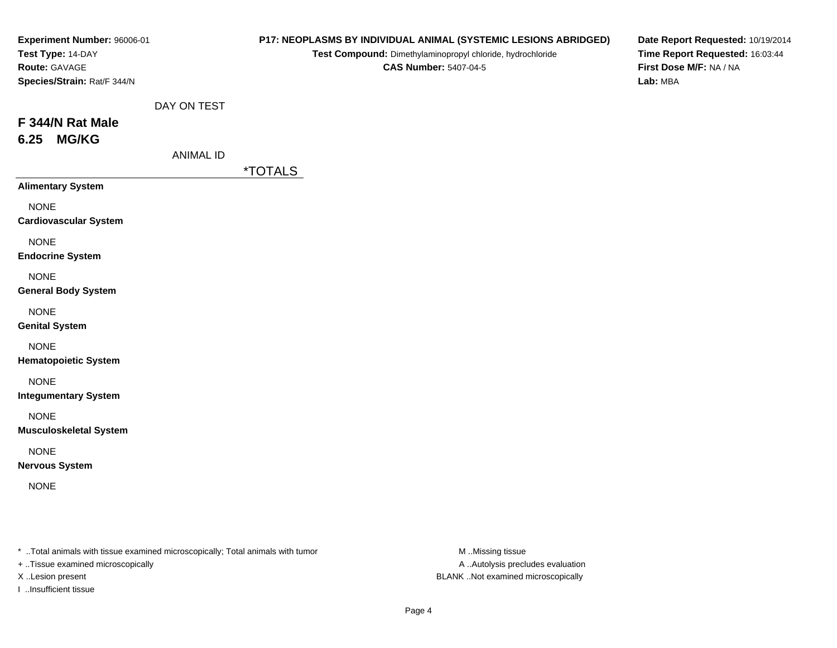| Experiment Number: 96006-01<br>Test Type: 14-DAY<br>Route: GAVAGE<br>Species/Strain: Rat/F 344/N |                                 |                       | P17: NEOPLASMS BY INDIVIDUAL ANIMAL (SYSTEMIC LESIONS ABRIDGED)<br>Test Compound: Dimethylaminopropyl chloride, hydrochloride<br><b>CAS Number: 5407-04-5</b> | Date Report Requested: 10/19/2014<br>Time Report Requested: 16:03:44<br>First Dose M/F: NA / NA<br>Lab: MBA |
|--------------------------------------------------------------------------------------------------|---------------------------------|-----------------------|---------------------------------------------------------------------------------------------------------------------------------------------------------------|-------------------------------------------------------------------------------------------------------------|
| F 344/N Rat Male<br><b>MG/KG</b><br>6.25                                                         | DAY ON TEST<br><b>ANIMAL ID</b> | <i><b>*TOTALS</b></i> |                                                                                                                                                               |                                                                                                             |
| <b>Alimentary System</b>                                                                         |                                 |                       |                                                                                                                                                               |                                                                                                             |
| <b>NONE</b><br><b>Cardiovascular System</b>                                                      |                                 |                       |                                                                                                                                                               |                                                                                                             |
| <b>NONE</b><br><b>Endocrine System</b>                                                           |                                 |                       |                                                                                                                                                               |                                                                                                             |
| <b>NONE</b><br><b>General Body System</b>                                                        |                                 |                       |                                                                                                                                                               |                                                                                                             |
| <b>NONE</b><br><b>Genital System</b>                                                             |                                 |                       |                                                                                                                                                               |                                                                                                             |
| <b>NONE</b><br><b>Hematopoietic System</b>                                                       |                                 |                       |                                                                                                                                                               |                                                                                                             |
| <b>NONE</b><br><b>Integumentary System</b>                                                       |                                 |                       |                                                                                                                                                               |                                                                                                             |
| <b>NONE</b><br><b>Musculoskeletal System</b>                                                     |                                 |                       |                                                                                                                                                               |                                                                                                             |
| <b>NONE</b><br><b>Nervous System</b>                                                             |                                 |                       |                                                                                                                                                               |                                                                                                             |
| <b>NONE</b>                                                                                      |                                 |                       |                                                                                                                                                               |                                                                                                             |
|                                                                                                  |                                 |                       |                                                                                                                                                               |                                                                                                             |

+ ..Tissue examined microscopically

I ..Insufficient tissue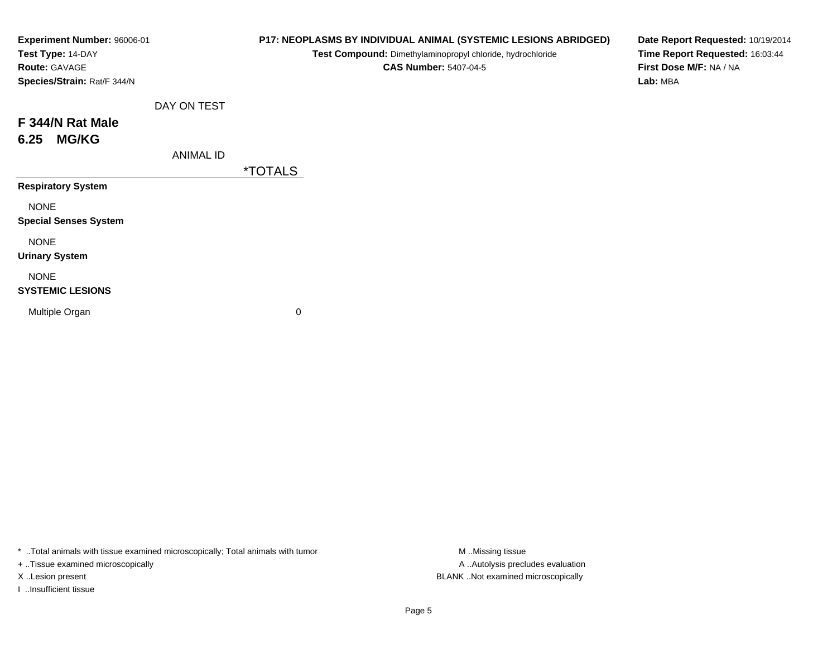| Experiment Number: 96006-01<br>Test Type: 14-DAY<br>Route: GAVAGE<br>Species/Strain: Rat/F 344/N |                  |                       | P17: NEOPLASMS BY INDIVIDUAL ANIMAL (SYSTEMIC LESIONS ABRIDGED)<br>Test Compound: Dimethylaminopropyl chloride, hydrochloride<br><b>CAS Number: 5407-04-5</b> | Date Report Requested: 10/19/2014<br>Time Report Requested: 16:03:44<br>First Dose M/F: NA / NA<br>Lab: MBA |
|--------------------------------------------------------------------------------------------------|------------------|-----------------------|---------------------------------------------------------------------------------------------------------------------------------------------------------------|-------------------------------------------------------------------------------------------------------------|
|                                                                                                  | DAY ON TEST      |                       |                                                                                                                                                               |                                                                                                             |
| F 344/N Rat Male<br><b>MG/KG</b><br>6.25                                                         |                  |                       |                                                                                                                                                               |                                                                                                             |
|                                                                                                  | <b>ANIMAL ID</b> | <i><b>*TOTALS</b></i> |                                                                                                                                                               |                                                                                                             |
| <b>Respiratory System</b>                                                                        |                  |                       |                                                                                                                                                               |                                                                                                             |
| <b>NONE</b><br><b>Special Senses System</b>                                                      |                  |                       |                                                                                                                                                               |                                                                                                             |
| <b>NONE</b><br><b>Urinary System</b>                                                             |                  |                       |                                                                                                                                                               |                                                                                                             |
| <b>NONE</b><br><b>SYSTEMIC LESIONS</b>                                                           |                  |                       |                                                                                                                                                               |                                                                                                             |
| Multiple Organ                                                                                   |                  | 0                     |                                                                                                                                                               |                                                                                                             |
|                                                                                                  |                  |                       |                                                                                                                                                               |                                                                                                             |

+ ..Tissue examined microscopically

I ..Insufficient tissue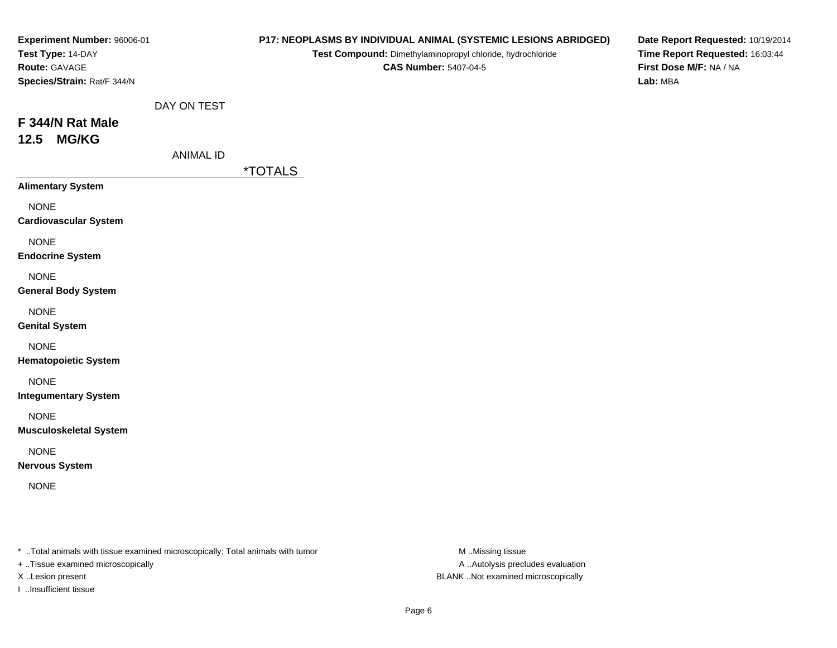| Experiment Number: 96006-01<br>Test Type: 14-DAY<br>Route: GAVAGE<br>Species/Strain: Rat/F 344/N |                                 |                       | P17: NEOPLASMS BY INDIVIDUAL ANIMAL (SYSTEMIC LESIONS ABRIDGED)<br>Test Compound: Dimethylaminopropyl chloride, hydrochloride<br><b>CAS Number: 5407-04-5</b> | Date Report Requested: 10/19/2014<br>Time Report Requested: 16:03:44<br>First Dose M/F: NA / NA<br>Lab: MBA |
|--------------------------------------------------------------------------------------------------|---------------------------------|-----------------------|---------------------------------------------------------------------------------------------------------------------------------------------------------------|-------------------------------------------------------------------------------------------------------------|
| F 344/N Rat Male<br><b>MG/KG</b><br>12.5                                                         | DAY ON TEST<br><b>ANIMAL ID</b> | <i><b>*TOTALS</b></i> |                                                                                                                                                               |                                                                                                             |
| <b>Alimentary System</b>                                                                         |                                 |                       |                                                                                                                                                               |                                                                                                             |
| <b>NONE</b><br><b>Cardiovascular System</b>                                                      |                                 |                       |                                                                                                                                                               |                                                                                                             |
| <b>NONE</b><br><b>Endocrine System</b>                                                           |                                 |                       |                                                                                                                                                               |                                                                                                             |
| <b>NONE</b><br><b>General Body System</b>                                                        |                                 |                       |                                                                                                                                                               |                                                                                                             |
| <b>NONE</b><br><b>Genital System</b>                                                             |                                 |                       |                                                                                                                                                               |                                                                                                             |
| <b>NONE</b><br><b>Hematopoietic System</b>                                                       |                                 |                       |                                                                                                                                                               |                                                                                                             |
| <b>NONE</b><br><b>Integumentary System</b>                                                       |                                 |                       |                                                                                                                                                               |                                                                                                             |
| <b>NONE</b><br><b>Musculoskeletal System</b>                                                     |                                 |                       |                                                                                                                                                               |                                                                                                             |
| <b>NONE</b><br><b>Nervous System</b>                                                             |                                 |                       |                                                                                                                                                               |                                                                                                             |
| <b>NONE</b>                                                                                      |                                 |                       |                                                                                                                                                               |                                                                                                             |
|                                                                                                  |                                 |                       |                                                                                                                                                               |                                                                                                             |

+ ..Tissue examined microscopically

I ..Insufficient tissue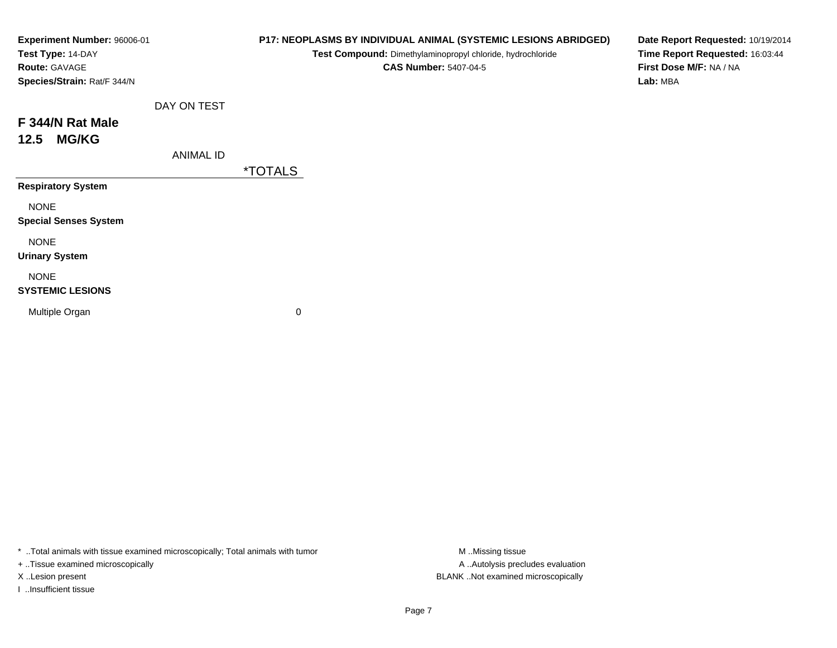| Experiment Number: 96006-01<br>Test Type: 14-DAY<br><b>Route: GAVAGE</b><br>Species/Strain: Rat/F 344/N |                  |                       | P17: NEOPLASMS BY INDIVIDUAL ANIMAL (SYSTEMIC LESIONS ABRIDGED)<br>Test Compound: Dimethylaminopropyl chloride, hydrochloride<br><b>CAS Number: 5407-04-5</b> | Date Report Requested: 10/19/2014<br>Time Report Requested: 16:03:44<br>First Dose M/F: NA / NA<br>Lab: MBA |
|---------------------------------------------------------------------------------------------------------|------------------|-----------------------|---------------------------------------------------------------------------------------------------------------------------------------------------------------|-------------------------------------------------------------------------------------------------------------|
|                                                                                                         | DAY ON TEST      |                       |                                                                                                                                                               |                                                                                                             |
| F 344/N Rat Male<br><b>MG/KG</b><br>12.5                                                                |                  |                       |                                                                                                                                                               |                                                                                                             |
|                                                                                                         | <b>ANIMAL ID</b> | <i><b>*TOTALS</b></i> |                                                                                                                                                               |                                                                                                             |
| <b>Respiratory System</b>                                                                               |                  |                       |                                                                                                                                                               |                                                                                                             |
| <b>NONE</b><br><b>Special Senses System</b>                                                             |                  |                       |                                                                                                                                                               |                                                                                                             |
| <b>NONE</b><br><b>Urinary System</b>                                                                    |                  |                       |                                                                                                                                                               |                                                                                                             |
| <b>NONE</b><br><b>SYSTEMIC LESIONS</b>                                                                  |                  |                       |                                                                                                                                                               |                                                                                                             |
| Multiple Organ                                                                                          |                  | 0                     |                                                                                                                                                               |                                                                                                             |
|                                                                                                         |                  |                       |                                                                                                                                                               |                                                                                                             |

+ ..Tissue examined microscopically

I ..Insufficient tissue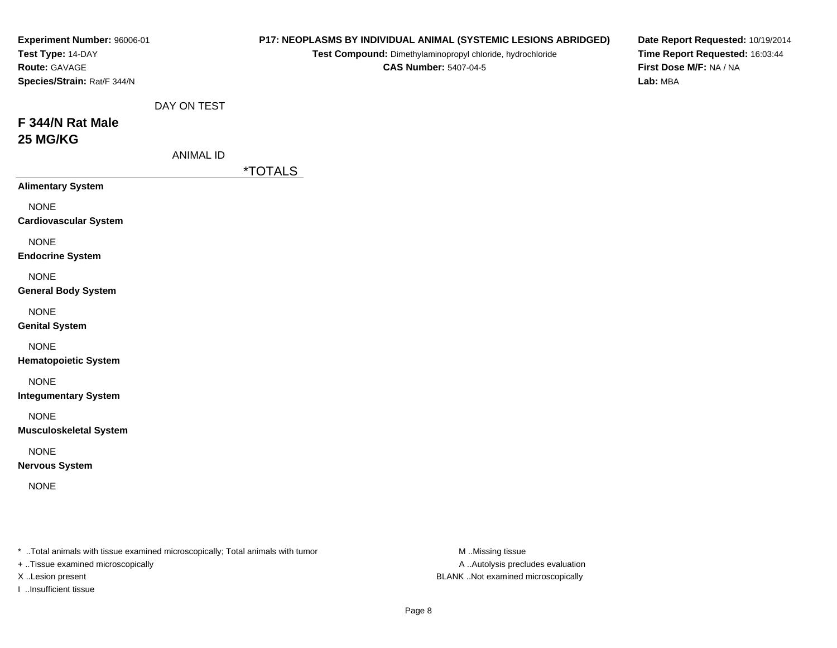| Experiment Number: 96006-01<br>Test Type: 14-DAY<br>Route: GAVAGE<br>Species/Strain: Rat/F 344/N |                                 |                       | P17: NEOPLASMS BY INDIVIDUAL ANIMAL (SYSTEMIC LESIONS ABRIDGED)<br>Test Compound: Dimethylaminopropyl chloride, hydrochloride<br><b>CAS Number: 5407-04-5</b> | Date Report Requested: 10/19/2014<br>Time Report Requested: 16:03:44<br>First Dose M/F: NA / NA<br>Lab: MBA |
|--------------------------------------------------------------------------------------------------|---------------------------------|-----------------------|---------------------------------------------------------------------------------------------------------------------------------------------------------------|-------------------------------------------------------------------------------------------------------------|
| F 344/N Rat Male<br>25 MG/KG                                                                     | DAY ON TEST<br><b>ANIMAL ID</b> |                       |                                                                                                                                                               |                                                                                                             |
| <b>Alimentary System</b>                                                                         |                                 | <i><b>*TOTALS</b></i> |                                                                                                                                                               |                                                                                                             |
| <b>NONE</b><br><b>Cardiovascular System</b>                                                      |                                 |                       |                                                                                                                                                               |                                                                                                             |
| <b>NONE</b><br><b>Endocrine System</b>                                                           |                                 |                       |                                                                                                                                                               |                                                                                                             |
| <b>NONE</b><br><b>General Body System</b>                                                        |                                 |                       |                                                                                                                                                               |                                                                                                             |
| <b>NONE</b><br><b>Genital System</b>                                                             |                                 |                       |                                                                                                                                                               |                                                                                                             |
| <b>NONE</b><br><b>Hematopoietic System</b>                                                       |                                 |                       |                                                                                                                                                               |                                                                                                             |
| <b>NONE</b><br><b>Integumentary System</b>                                                       |                                 |                       |                                                                                                                                                               |                                                                                                             |
| <b>NONE</b><br><b>Musculoskeletal System</b>                                                     |                                 |                       |                                                                                                                                                               |                                                                                                             |
| <b>NONE</b><br><b>Nervous System</b>                                                             |                                 |                       |                                                                                                                                                               |                                                                                                             |
| <b>NONE</b>                                                                                      |                                 |                       |                                                                                                                                                               |                                                                                                             |
|                                                                                                  |                                 |                       |                                                                                                                                                               |                                                                                                             |

+ ..Tissue examined microscopically

I ..Insufficient tissue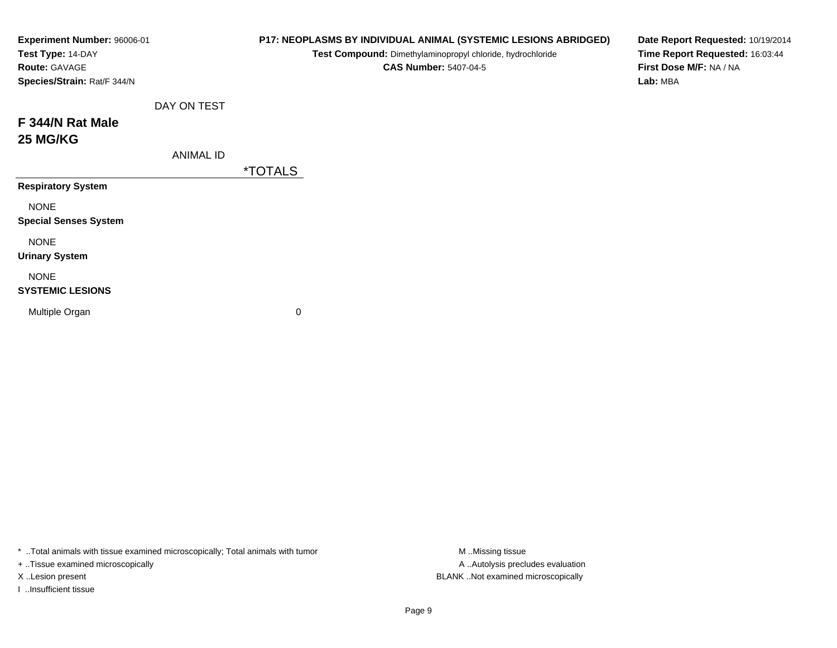| Experiment Number: 96006-01 |                       | Test Compound: Dimethylaminopropyl chloride, hydrochloride<br><b>CAS Number: 5407-04-5</b> | Date Report Requested: 10/19/2014<br>Time Report Requested: 16:03:44<br>First Dose M/F: NA / NA<br>Lab: MBA |
|-----------------------------|-----------------------|--------------------------------------------------------------------------------------------|-------------------------------------------------------------------------------------------------------------|
| DAY ON TEST                 |                       |                                                                                            |                                                                                                             |
|                             |                       |                                                                                            |                                                                                                             |
| <b>ANIMAL ID</b>            |                       |                                                                                            |                                                                                                             |
|                             | <i><b>*TOTALS</b></i> |                                                                                            |                                                                                                             |
|                             |                       |                                                                                            |                                                                                                             |
|                             |                       |                                                                                            |                                                                                                             |
|                             |                       |                                                                                            |                                                                                                             |
|                             |                       |                                                                                            |                                                                                                             |
|                             | 0                     |                                                                                            |                                                                                                             |
|                             |                       |                                                                                            | P17: NEOPLASMS BY INDIVIDUAL ANIMAL (SYSTEMIC LESIONS ABRIDGED)                                             |

+ ..Tissue examined microscopically

I ..Insufficient tissue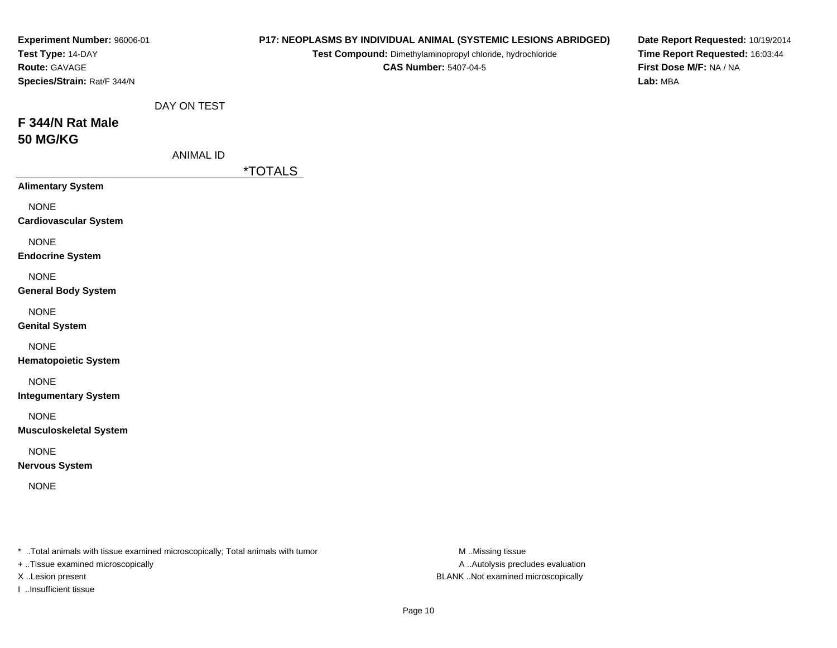| Experiment Number: 96006-01<br>Test Type: 14-DAY<br>Route: GAVAGE<br>Species/Strain: Rat/F 344/N |                                 |                       | P17: NEOPLASMS BY INDIVIDUAL ANIMAL (SYSTEMIC LESIONS ABRIDGED)<br>Test Compound: Dimethylaminopropyl chloride, hydrochloride<br><b>CAS Number: 5407-04-5</b> | Date Report Requested: 10/19/2014<br>Time Report Requested: 16:03:44<br>First Dose M/F: NA / NA<br>Lab: MBA |
|--------------------------------------------------------------------------------------------------|---------------------------------|-----------------------|---------------------------------------------------------------------------------------------------------------------------------------------------------------|-------------------------------------------------------------------------------------------------------------|
| F 344/N Rat Male<br><b>50 MG/KG</b>                                                              | DAY ON TEST<br><b>ANIMAL ID</b> | <i><b>*TOTALS</b></i> |                                                                                                                                                               |                                                                                                             |
| <b>Alimentary System</b>                                                                         |                                 |                       |                                                                                                                                                               |                                                                                                             |
| <b>NONE</b><br><b>Cardiovascular System</b>                                                      |                                 |                       |                                                                                                                                                               |                                                                                                             |
| <b>NONE</b><br><b>Endocrine System</b>                                                           |                                 |                       |                                                                                                                                                               |                                                                                                             |
| <b>NONE</b><br><b>General Body System</b>                                                        |                                 |                       |                                                                                                                                                               |                                                                                                             |
| <b>NONE</b><br><b>Genital System</b>                                                             |                                 |                       |                                                                                                                                                               |                                                                                                             |
| <b>NONE</b><br><b>Hematopoietic System</b>                                                       |                                 |                       |                                                                                                                                                               |                                                                                                             |
| <b>NONE</b><br><b>Integumentary System</b>                                                       |                                 |                       |                                                                                                                                                               |                                                                                                             |
| <b>NONE</b><br><b>Musculoskeletal System</b>                                                     |                                 |                       |                                                                                                                                                               |                                                                                                             |
| <b>NONE</b><br><b>Nervous System</b>                                                             |                                 |                       |                                                                                                                                                               |                                                                                                             |
| <b>NONE</b>                                                                                      |                                 |                       |                                                                                                                                                               |                                                                                                             |
|                                                                                                  |                                 |                       |                                                                                                                                                               |                                                                                                             |

+ ..Tissue examined microscopically

I ..Insufficient tissue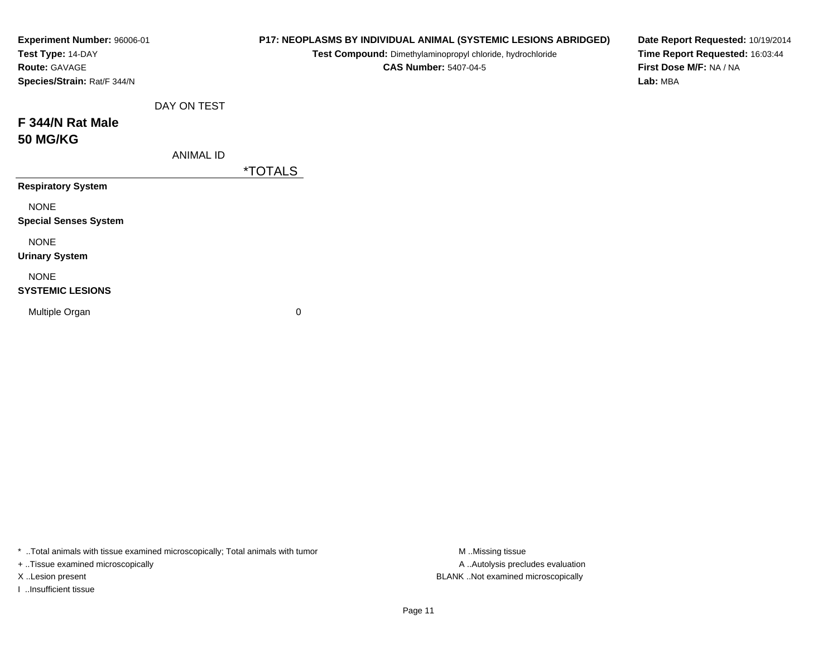| Experiment Number: 96006-01<br>Test Type: 14-DAY<br>Route: GAVAGE<br>Species/Strain: Rat/F 344/N |                  | P17: NEOPLASMS BY INDIVIDUAL ANIMAL (SYSTEMIC LESIONS ABRIDGED)<br>Test Compound: Dimethylaminopropyl chloride, hydrochloride<br><b>CAS Number: 5407-04-5</b> | Date Report Requested: 10/19/2014<br>Time Report Requested: 16:03:44<br>First Dose M/F: NA / NA<br>Lab: MBA |
|--------------------------------------------------------------------------------------------------|------------------|---------------------------------------------------------------------------------------------------------------------------------------------------------------|-------------------------------------------------------------------------------------------------------------|
|                                                                                                  | DAY ON TEST      |                                                                                                                                                               |                                                                                                             |
| F 344/N Rat Male<br><b>50 MG/KG</b>                                                              |                  |                                                                                                                                                               |                                                                                                             |
|                                                                                                  | <b>ANIMAL ID</b> |                                                                                                                                                               |                                                                                                             |
|                                                                                                  |                  | <i><b>*TOTALS</b></i>                                                                                                                                         |                                                                                                             |
| <b>Respiratory System</b>                                                                        |                  |                                                                                                                                                               |                                                                                                             |
| <b>NONE</b><br><b>Special Senses System</b>                                                      |                  |                                                                                                                                                               |                                                                                                             |
| <b>NONE</b><br><b>Urinary System</b>                                                             |                  |                                                                                                                                                               |                                                                                                             |
| <b>NONE</b><br><b>SYSTEMIC LESIONS</b>                                                           |                  |                                                                                                                                                               |                                                                                                             |
| Multiple Organ                                                                                   |                  | 0                                                                                                                                                             |                                                                                                             |

+ ..Tissue examined microscopically

I ..Insufficient tissue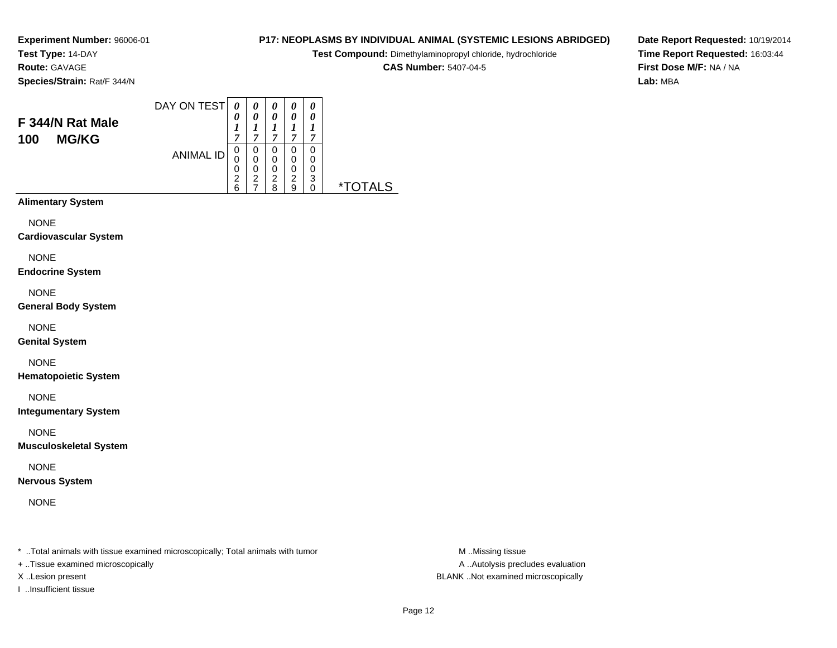**Test Type:** 14-DAY**Route:** GAVAGE

**Species/Strain:** Rat/F 344/N

### DAY ON TEST**F 344/N Rat Male100 MG/KG**ANIMAL ID*0 0 1 7* 0 0 0 2 6*0 0 1 7*0<br>0<br>0<br>2<br>7 *0 0 1 7* 0 0 0*0 0 1 7* 0 0*0 0 1 7* 00

2 8

 02 9 0 3

0 \*TOTALS

**Alimentary System**

**NONE** 

**Cardiovascular System**

NONE

**Endocrine System**

NONE

**General Body System**

NONE

**Genital System**

NONE

**Hematopoietic System**

NONE

**Integumentary System**

NONE

**Musculoskeletal System**

NONE

**Nervous System**

NONE

\* ..Total animals with tissue examined microscopically; Total animals with tumor **M** ..Missing tissue M ..Missing tissue

+ ..Tissue examined microscopically

X ..Lesion present BLANK ..Not examined microscopically

I ..Insufficient tissue

**P17: NEOPLASMS BY INDIVIDUAL ANIMAL (SYSTEMIC LESIONS ABRIDGED)**

**Test Compound:** Dimethylaminopropyl chloride, hydrochloride

**CAS Number:** 5407-04-5

**Date Report Requested:** 10/19/2014**Time Report Requested:** 16:03:44**First Dose M/F:** NA / NA**Lab:** MBA

Page 12

A ..Autolysis precludes evaluation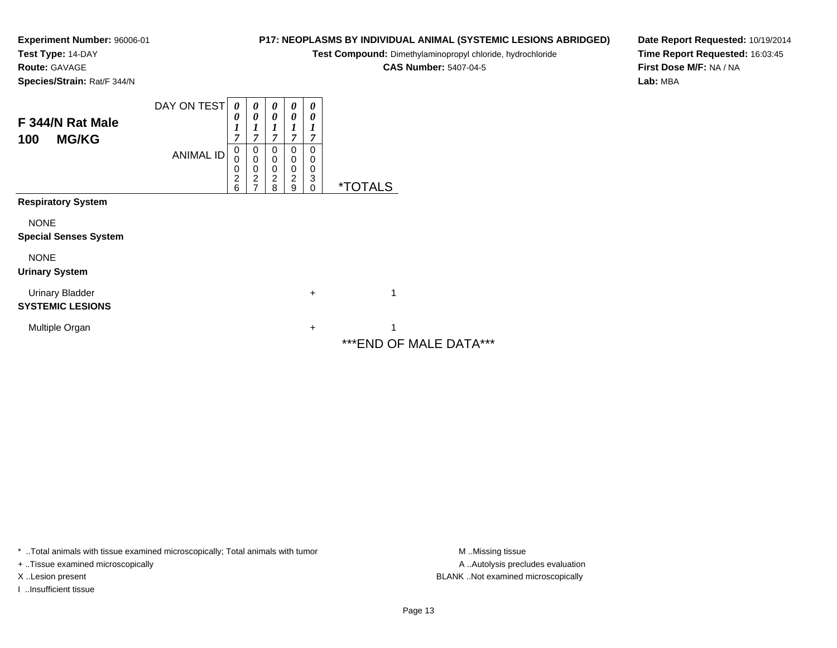**Test Type:** 14-DAY

**Route:** GAVAGE

**Species/Strain:** Rat/F 344/N

# **P17: NEOPLASMS BY INDIVIDUAL ANIMAL (SYSTEMIC LESIONS ABRIDGED)**

**Test Compound:** Dimethylaminopropyl chloride, hydrochloride

**CAS Number:** 5407-04-5

**Date Report Requested:** 10/19/2014**Time Report Requested:** 16:03:45**First Dose M/F:** NA / NA**Lab:** MBA

| F 344/N Rat Male<br><b>MG/KG</b><br>100                                  | DAY ON TEST<br><b>ANIMAL ID</b> | 0<br>0<br>1<br>7<br>0<br>0<br>$\mathbf 0$<br>2 | $\boldsymbol{\theta}$<br>0<br>0<br>0<br>0<br>$\overline{c}$ | 0<br>0<br>1<br>7<br>0<br>0<br>0<br>$\overline{c}$ | 0<br>0<br>7<br>0<br>0<br>0<br>2 | 0<br>0<br>1<br>7<br>0<br>0<br>0<br>3 |                              |
|--------------------------------------------------------------------------|---------------------------------|------------------------------------------------|-------------------------------------------------------------|---------------------------------------------------|---------------------------------|--------------------------------------|------------------------------|
|                                                                          |                                 | 6                                              |                                                             | 8                                                 | 9                               | $\mathbf 0$                          | <i><b>*TOTALS</b></i>        |
| <b>Respiratory System</b><br><b>NONE</b><br><b>Special Senses System</b> |                                 |                                                |                                                             |                                                   |                                 |                                      |                              |
| <b>NONE</b><br><b>Urinary System</b>                                     |                                 |                                                |                                                             |                                                   |                                 |                                      |                              |
| <b>Urinary Bladder</b><br><b>SYSTEMIC LESIONS</b>                        |                                 |                                                |                                                             |                                                   |                                 | +                                    | 1                            |
| Multiple Organ                                                           |                                 |                                                |                                                             |                                                   |                                 | +                                    | 1<br>*** END OF MALE DATA*** |

\* ..Total animals with tissue examined microscopically; Total animals with tumor **M** . Missing tissue M ..Missing tissue

+ ..Tissue examined microscopically

I ..Insufficient tissue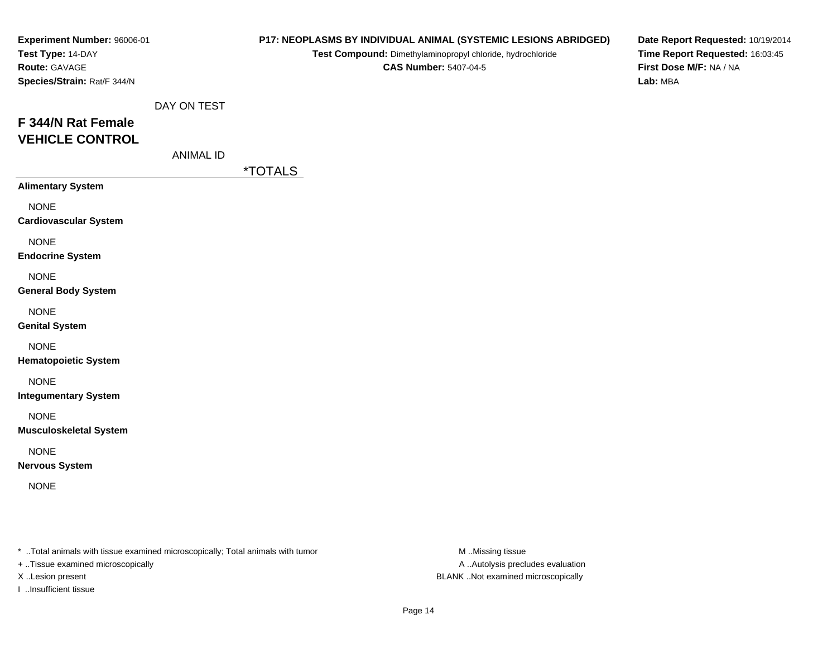| Experiment Number: 96006-01<br>Test Type: 14-DAY<br>Route: GAVAGE<br>Species/Strain: Rat/F 344/N |                                 |                       | P17: NEOPLASMS BY INDIVIDUAL ANIMAL (SYSTEMIC LESIONS ABRIDGED)<br>Test Compound: Dimethylaminopropyl chloride, hydrochloride<br><b>CAS Number: 5407-04-5</b> | Date Report Requested: 10/19/2014<br>Time Report Requested: 16:03:45<br>First Dose M/F: NA / NA<br>Lab: MBA |
|--------------------------------------------------------------------------------------------------|---------------------------------|-----------------------|---------------------------------------------------------------------------------------------------------------------------------------------------------------|-------------------------------------------------------------------------------------------------------------|
| F 344/N Rat Female<br><b>VEHICLE CONTROL</b>                                                     | DAY ON TEST<br><b>ANIMAL ID</b> | <i><b>*TOTALS</b></i> |                                                                                                                                                               |                                                                                                             |
| <b>Alimentary System</b>                                                                         |                                 |                       |                                                                                                                                                               |                                                                                                             |
| <b>NONE</b><br><b>Cardiovascular System</b>                                                      |                                 |                       |                                                                                                                                                               |                                                                                                             |
| <b>NONE</b><br><b>Endocrine System</b>                                                           |                                 |                       |                                                                                                                                                               |                                                                                                             |
| <b>NONE</b><br><b>General Body System</b>                                                        |                                 |                       |                                                                                                                                                               |                                                                                                             |
| <b>NONE</b><br><b>Genital System</b>                                                             |                                 |                       |                                                                                                                                                               |                                                                                                             |
| <b>NONE</b><br><b>Hematopoietic System</b>                                                       |                                 |                       |                                                                                                                                                               |                                                                                                             |
| <b>NONE</b><br><b>Integumentary System</b>                                                       |                                 |                       |                                                                                                                                                               |                                                                                                             |
| <b>NONE</b><br><b>Musculoskeletal System</b>                                                     |                                 |                       |                                                                                                                                                               |                                                                                                             |
| <b>NONE</b><br><b>Nervous System</b>                                                             |                                 |                       |                                                                                                                                                               |                                                                                                             |
| <b>NONE</b>                                                                                      |                                 |                       |                                                                                                                                                               |                                                                                                             |
|                                                                                                  |                                 |                       |                                                                                                                                                               |                                                                                                             |

+ ..Tissue examined microscopically

I ..Insufficient tissue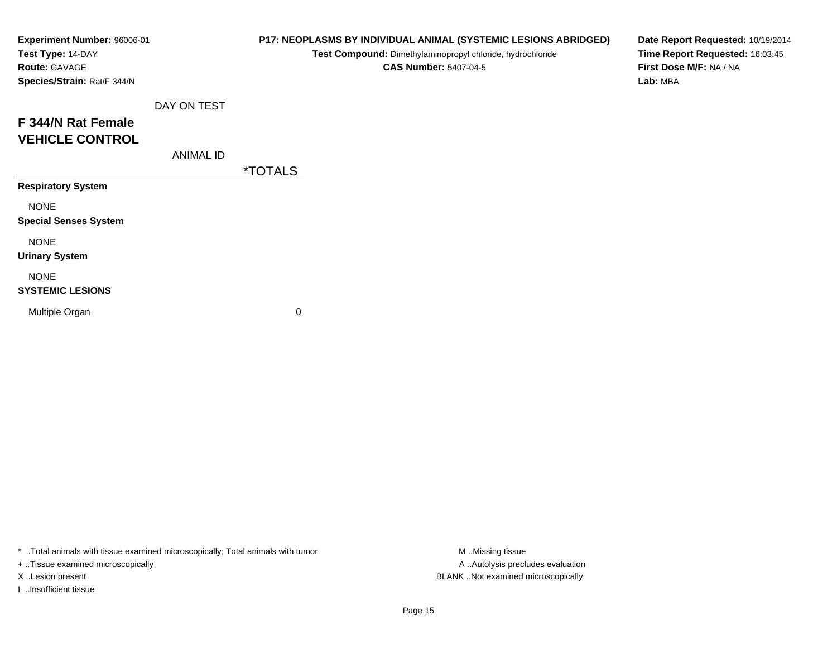| Experiment Number: 96006-01<br>Test Type: 14-DAY<br>Route: GAVAGE |                  |                       | P17: NEOPLASMS BY INDIVIDUAL ANIMAL (SYSTEMIC LESIONS ABRIDGED)<br>Test Compound: Dimethylaminopropyl chloride, hydrochloride<br><b>CAS Number: 5407-04-5</b> | Date Report Requested: 10/19/2014<br>Time Report Requested: 16:03:45<br>First Dose M/F: NA / NA |
|-------------------------------------------------------------------|------------------|-----------------------|---------------------------------------------------------------------------------------------------------------------------------------------------------------|-------------------------------------------------------------------------------------------------|
| Species/Strain: Rat/F 344/N                                       |                  |                       |                                                                                                                                                               | Lab: MBA                                                                                        |
|                                                                   | DAY ON TEST      |                       |                                                                                                                                                               |                                                                                                 |
| F 344/N Rat Female                                                |                  |                       |                                                                                                                                                               |                                                                                                 |
| <b>VEHICLE CONTROL</b>                                            |                  |                       |                                                                                                                                                               |                                                                                                 |
|                                                                   | <b>ANIMAL ID</b> |                       |                                                                                                                                                               |                                                                                                 |
|                                                                   |                  | <i><b>*TOTALS</b></i> |                                                                                                                                                               |                                                                                                 |
| <b>Respiratory System</b>                                         |                  |                       |                                                                                                                                                               |                                                                                                 |
| <b>NONE</b>                                                       |                  |                       |                                                                                                                                                               |                                                                                                 |
| <b>Special Senses System</b>                                      |                  |                       |                                                                                                                                                               |                                                                                                 |
| <b>NONE</b>                                                       |                  |                       |                                                                                                                                                               |                                                                                                 |
| <b>Urinary System</b>                                             |                  |                       |                                                                                                                                                               |                                                                                                 |
| <b>NONE</b>                                                       |                  |                       |                                                                                                                                                               |                                                                                                 |
| <b>SYSTEMIC LESIONS</b>                                           |                  |                       |                                                                                                                                                               |                                                                                                 |
| Multiple Organ                                                    |                  | 0                     |                                                                                                                                                               |                                                                                                 |
|                                                                   |                  |                       |                                                                                                                                                               |                                                                                                 |

+ ..Tissue examined microscopically

I ..Insufficient tissue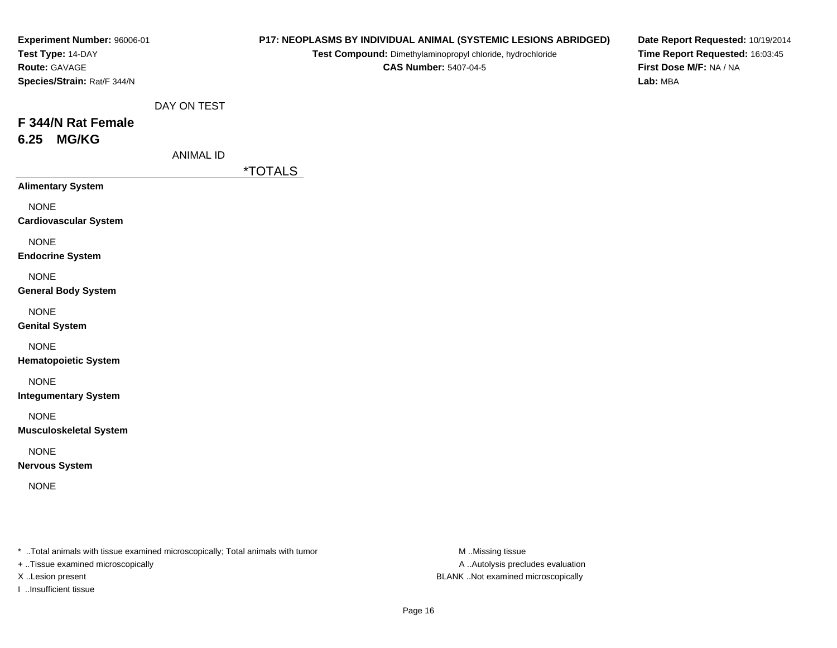| Experiment Number: 96006-01<br>Test Type: 14-DAY<br>Route: GAVAGE<br>Species/Strain: Rat/F 344/N |                                 |                       | P17: NEOPLASMS BY INDIVIDUAL ANIMAL (SYSTEMIC LESIONS ABRIDGED)<br>Test Compound: Dimethylaminopropyl chloride, hydrochloride<br><b>CAS Number: 5407-04-5</b> | Date Report Requested: 10/19/2014<br>Time Report Requested: 16:03:45<br>First Dose M/F: NA / NA<br>Lab: MBA |
|--------------------------------------------------------------------------------------------------|---------------------------------|-----------------------|---------------------------------------------------------------------------------------------------------------------------------------------------------------|-------------------------------------------------------------------------------------------------------------|
| F 344/N Rat Female<br><b>MG/KG</b><br>6.25                                                       | DAY ON TEST<br><b>ANIMAL ID</b> |                       |                                                                                                                                                               |                                                                                                             |
| <b>Alimentary System</b><br><b>NONE</b><br><b>Cardiovascular System</b>                          |                                 | <i><b>*TOTALS</b></i> |                                                                                                                                                               |                                                                                                             |
| <b>NONE</b><br><b>Endocrine System</b>                                                           |                                 |                       |                                                                                                                                                               |                                                                                                             |
| <b>NONE</b><br><b>General Body System</b>                                                        |                                 |                       |                                                                                                                                                               |                                                                                                             |
| <b>NONE</b><br><b>Genital System</b>                                                             |                                 |                       |                                                                                                                                                               |                                                                                                             |
| <b>NONE</b><br><b>Hematopoietic System</b>                                                       |                                 |                       |                                                                                                                                                               |                                                                                                             |
| <b>NONE</b><br><b>Integumentary System</b>                                                       |                                 |                       |                                                                                                                                                               |                                                                                                             |
| <b>NONE</b><br><b>Musculoskeletal System</b>                                                     |                                 |                       |                                                                                                                                                               |                                                                                                             |
| <b>NONE</b><br><b>Nervous System</b>                                                             |                                 |                       |                                                                                                                                                               |                                                                                                             |
| <b>NONE</b>                                                                                      |                                 |                       |                                                                                                                                                               |                                                                                                             |
|                                                                                                  |                                 |                       |                                                                                                                                                               |                                                                                                             |

+ ..Tissue examined microscopically

I ..Insufficient tissue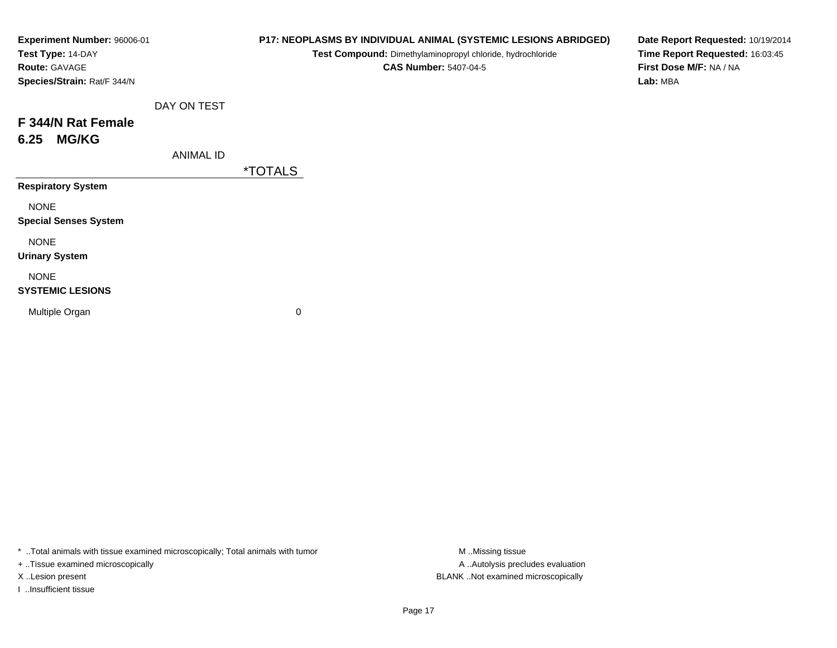| Experiment Number: 96006-01<br>Test Type: 14-DAY<br>Route: GAVAGE<br>Species/Strain: Rat/F 344/N |                  |                       | P17: NEOPLASMS BY INDIVIDUAL ANIMAL (SYSTEMIC LESIONS ABRIDGED)<br>Test Compound: Dimethylaminopropyl chloride, hydrochloride<br><b>CAS Number: 5407-04-5</b> | Date Report Requested: 10/19/2014<br>Time Report Requested: 16:03:45<br>First Dose M/F: NA / NA<br>Lab: MBA |
|--------------------------------------------------------------------------------------------------|------------------|-----------------------|---------------------------------------------------------------------------------------------------------------------------------------------------------------|-------------------------------------------------------------------------------------------------------------|
|                                                                                                  | DAY ON TEST      |                       |                                                                                                                                                               |                                                                                                             |
| F 344/N Rat Female<br><b>MG/KG</b><br>6.25                                                       |                  |                       |                                                                                                                                                               |                                                                                                             |
|                                                                                                  | <b>ANIMAL ID</b> | <i><b>*TOTALS</b></i> |                                                                                                                                                               |                                                                                                             |
| <b>Respiratory System</b>                                                                        |                  |                       |                                                                                                                                                               |                                                                                                             |
| <b>NONE</b><br><b>Special Senses System</b>                                                      |                  |                       |                                                                                                                                                               |                                                                                                             |
| <b>NONE</b><br><b>Urinary System</b>                                                             |                  |                       |                                                                                                                                                               |                                                                                                             |
| <b>NONE</b><br><b>SYSTEMIC LESIONS</b>                                                           |                  |                       |                                                                                                                                                               |                                                                                                             |
| Multiple Organ                                                                                   |                  | 0                     |                                                                                                                                                               |                                                                                                             |
|                                                                                                  |                  |                       |                                                                                                                                                               |                                                                                                             |

+ ..Tissue examined microscopically

I ..Insufficient tissue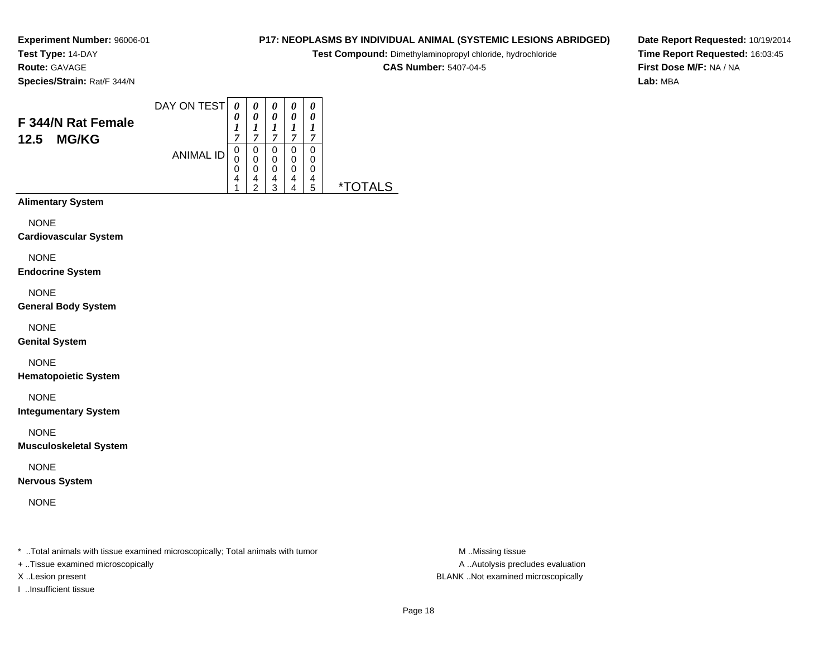**Test Type:** 14-DAY**Route:** GAVAGE

**Species/Strain:** Rat/F 344/N

#### DAY ON TEST**F 344/N Rat Female12.5 MG/KG**ANIMAL ID*0 0 1 7* 0 0 0 4 1*0 0 1 7*0<br>0<br>0<br>4<br>2 *0 0 1 7* 0 0 0 4 3*0 0 1 7* 0 0 0 4 4*0 0 1 7* 0 00<br>4<br>5 5 \*TOTALS

**Alimentary System**

**NONE** 

**Cardiovascular System**

NONE

**Endocrine System**

NONE

**General Body System**

NONE

**Genital System**

NONE

**Hematopoietic System**

NONE

**Integumentary System**

NONE

**Musculoskeletal System**

NONE

**Nervous System**

NONE

\* ..Total animals with tissue examined microscopically; Total animals with tumor **M** ..Missing tissue M ..Missing tissue

+ ..Tissue examined microscopically

X ..Lesion present BLANK ..Not examined microscopically

I ..Insufficient tissue

**P17: NEOPLASMS BY INDIVIDUAL ANIMAL (SYSTEMIC LESIONS ABRIDGED)**

**Test Compound:** Dimethylaminopropyl chloride, hydrochloride

**CAS Number:** 5407-04-5

**Date Report Requested:** 10/19/2014**Time Report Requested:** 16:03:45**First Dose M/F:** NA / NA**Lab:** MBA

A ..Autolysis precludes evaluation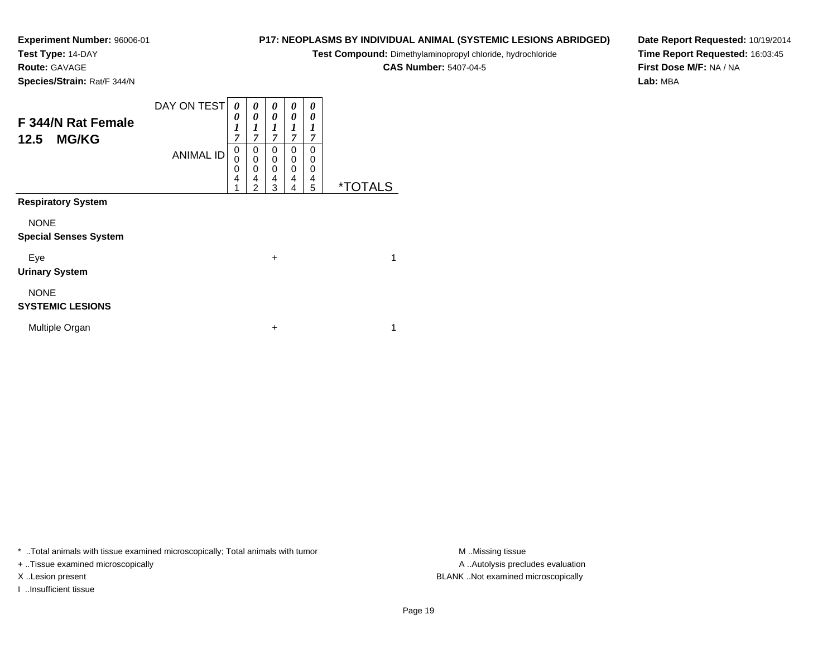**Test Type:** 14-DAY

**Route:** GAVAGE

**Species/Strain:** Rat/F 344/N

# **P17: NEOPLASMS BY INDIVIDUAL ANIMAL (SYSTEMIC LESIONS ABRIDGED)**

**Test Compound:** Dimethylaminopropyl chloride, hydrochloride

**CAS Number:** 5407-04-5

**Date Report Requested:** 10/19/2014**Time Report Requested:** 16:03:45**First Dose M/F:** NA / NA**Lab:** MBA

| F 344/N Rat Female<br>12.5<br><b>MG/KG</b>  | DAY ON TEST      | 0<br>0<br>$\boldsymbol{l}$<br>7 | 0<br>0<br>7                     | 0<br>0<br>7           | 0<br>0<br>7           | 0<br>0<br>1<br>7      |                       |  |
|---------------------------------------------|------------------|---------------------------------|---------------------------------|-----------------------|-----------------------|-----------------------|-----------------------|--|
|                                             | <b>ANIMAL ID</b> | 0<br>$\mathbf 0$<br>0<br>4      | 0<br>$\mathbf 0$<br>0<br>4<br>2 | 0<br>0<br>0<br>4<br>3 | 0<br>0<br>0<br>4<br>4 | 0<br>0<br>0<br>4<br>5 | <i><b>*TOTALS</b></i> |  |
| <b>Respiratory System</b>                   |                  |                                 |                                 |                       |                       |                       |                       |  |
| <b>NONE</b><br><b>Special Senses System</b> |                  |                                 |                                 |                       |                       |                       |                       |  |
| Eye<br><b>Urinary System</b>                |                  |                                 |                                 | $\ddot{}$             |                       |                       | 1                     |  |
| <b>NONE</b><br><b>SYSTEMIC LESIONS</b>      |                  |                                 |                                 |                       |                       |                       |                       |  |
| Multiple Organ                              |                  |                                 |                                 | +                     |                       |                       | 1                     |  |

\* ..Total animals with tissue examined microscopically; Total animals with tumor **M** . Missing tissue M ..Missing tissue

+ ..Tissue examined microscopically

I ..Insufficient tissue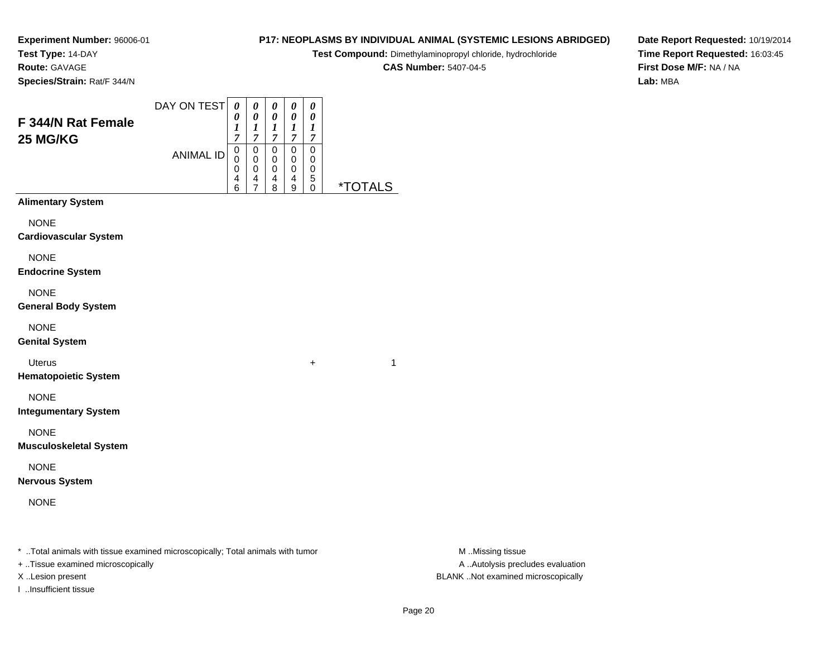**Experiment Number:** 96006-01**Test Type:** 14-DAY

**Route:** GAVAGE

**Species/Strain:** Rat/F 344/N

## **P17: NEOPLASMS BY INDIVIDUAL ANIMAL (SYSTEMIC LESIONS ABRIDGED)**

**Test Compound:** Dimethylaminopropyl chloride, hydrochloride

**CAS Number:** 5407-04-5

**Date Report Requested:** 10/19/2014**Time Report Requested:** 16:03:45**First Dose M/F:** NA / NA**Lab:** MBA

|                               | DAY ON TEST      | 0                     | 0                                         | 0                                         | 0           | 0                     |                       |
|-------------------------------|------------------|-----------------------|-------------------------------------------|-------------------------------------------|-------------|-----------------------|-----------------------|
| F 344/N Rat Female            |                  | 0<br>$\boldsymbol{l}$ | $\boldsymbol{\theta}$<br>$\boldsymbol{l}$ | $\boldsymbol{\theta}$<br>$\boldsymbol{l}$ | 0<br>1      | 0<br>$\boldsymbol{l}$ |                       |
| 25 MG/KG                      |                  | $\overline{7}$<br>0   | 7<br>$\mathbf 0$                          | $\overline{7}$<br>$\pmb{0}$               | 7<br>0      | 7<br>0                |                       |
|                               | <b>ANIMAL ID</b> | 0<br>0                | 0<br>$\mathbf 0$                          | $\pmb{0}$<br>$\mathbf 0$                  | 0           | 0                     |                       |
|                               |                  | 4<br>6                | 4<br>$\overline{7}$                       | 4<br>8                                    | 0<br>4<br>9 | 0<br>5<br>0           | <i><b>*TOTALS</b></i> |
| <b>Alimentary System</b>      |                  |                       |                                           |                                           |             |                       |                       |
| <b>NONE</b>                   |                  |                       |                                           |                                           |             |                       |                       |
| <b>Cardiovascular System</b>  |                  |                       |                                           |                                           |             |                       |                       |
| <b>NONE</b>                   |                  |                       |                                           |                                           |             |                       |                       |
| <b>Endocrine System</b>       |                  |                       |                                           |                                           |             |                       |                       |
| <b>NONE</b>                   |                  |                       |                                           |                                           |             |                       |                       |
| <b>General Body System</b>    |                  |                       |                                           |                                           |             |                       |                       |
| <b>NONE</b>                   |                  |                       |                                           |                                           |             |                       |                       |
| <b>Genital System</b>         |                  |                       |                                           |                                           |             |                       |                       |
| <b>Uterus</b>                 |                  |                       |                                           |                                           |             | +                     | 1                     |
| <b>Hematopoietic System</b>   |                  |                       |                                           |                                           |             |                       |                       |
| <b>NONE</b>                   |                  |                       |                                           |                                           |             |                       |                       |
| <b>Integumentary System</b>   |                  |                       |                                           |                                           |             |                       |                       |
| <b>NONE</b>                   |                  |                       |                                           |                                           |             |                       |                       |
| <b>Musculoskeletal System</b> |                  |                       |                                           |                                           |             |                       |                       |
| <b>NONE</b>                   |                  |                       |                                           |                                           |             |                       |                       |
| <b>Nervous System</b>         |                  |                       |                                           |                                           |             |                       |                       |
| <b>NONE</b>                   |                  |                       |                                           |                                           |             |                       |                       |
|                               |                  |                       |                                           |                                           |             |                       |                       |
|                               |                  |                       |                                           |                                           |             |                       |                       |

\* ..Total animals with tissue examined microscopically; Total animals with tumor **M** . Missing tissue M ..Missing tissue

+ ..Tissue examined microscopically

I ..Insufficient tissue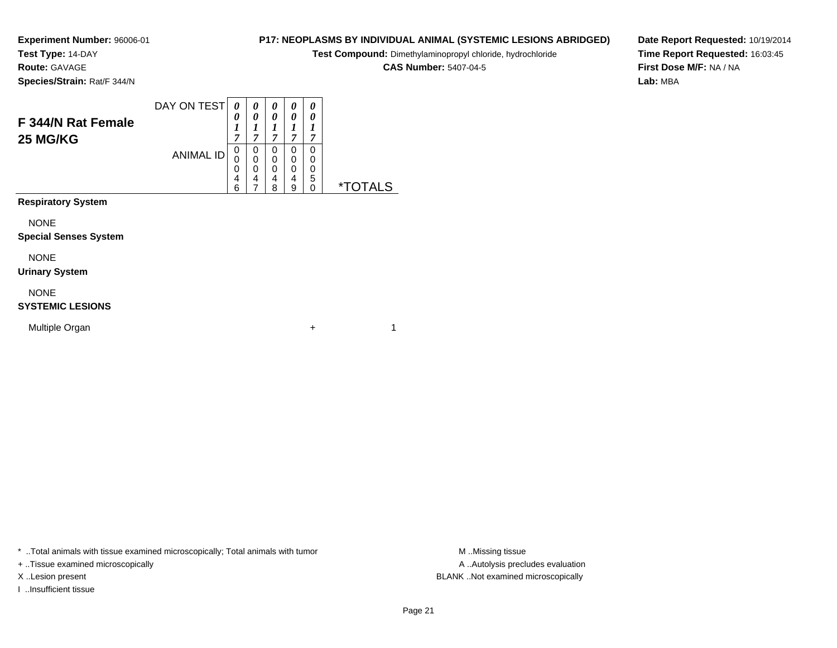**Test Type:** 14-DAY**Route:** GAVAGE

**Species/Strain:** Rat/F 344/N

#### DAY ON TEST**F 344/N Rat Female25 MG/KG**ANIMAL ID*0 0 1 7*0<br>0<br>0<br>6<br>6 *0 0 1 7*0<br>0<br>0<br>7<br>7 *0 0 1 7* 0 0 0 4 8*0 0 1 7* 0 0 0 4 9*0 0 1 7* 0 0 0 5 0 \*TOTALS

**Respiratory System**

NONE

### **Special Senses System**

NONE

### **Urinary System**

NONE

## **SYSTEMIC LESIONS**

Multiple Organn  $+$ 

\* ..Total animals with tissue examined microscopically; Total animals with tumor **M** ..Missing tissue M ..Missing tissue

+ ..Tissue examined microscopically

I ..Insufficient tissue

**P17: NEOPLASMS BY INDIVIDUAL ANIMAL (SYSTEMIC LESIONS ABRIDGED)**

**Test Compound:** Dimethylaminopropyl chloride, hydrochloride

**CAS Number:** 5407-04-5

**Date Report Requested:** 10/19/2014**Time Report Requested:** 16:03:45**First Dose M/F:** NA / NA**Lab:** MBA

A .. Autolysis precludes evaluation X ..Lesion present BLANK ..Not examined microscopically

 $+$  1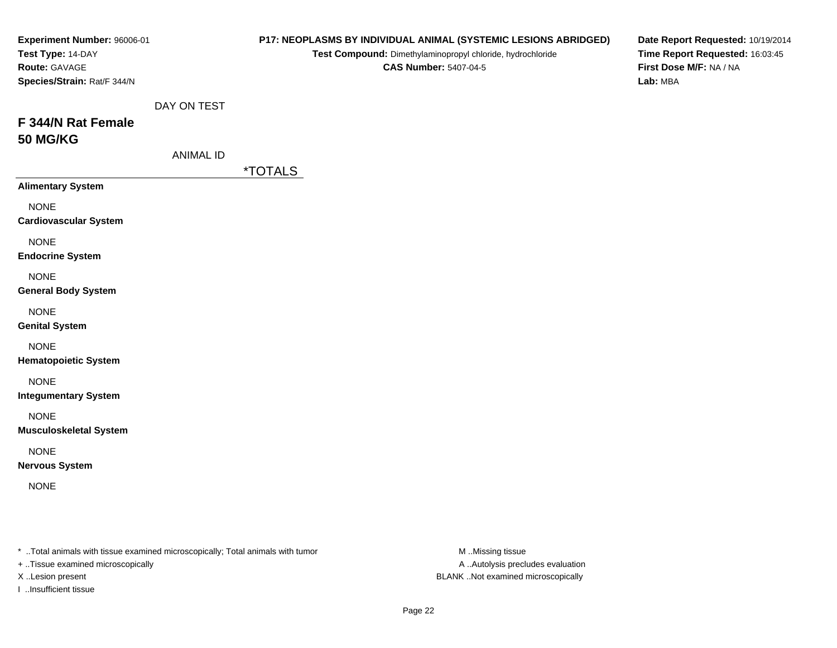| Experiment Number: 96006-01<br>Test Type: 14-DAY<br>Route: GAVAGE<br>Species/Strain: Rat/F 344/N |                                 |                       | Test Compound: Dimethylaminopropyl chloride, hydrochloride<br><b>CAS Number: 5407-04-5</b> | P17: NEOPLASMS BY INDIVIDUAL ANIMAL (SYSTEMIC LESIONS ABRIDGED) | Date Report Requested: 10/19/2014<br>Time Report Requested: 16:03:45<br>First Dose M/F: NA / NA<br>Lab: MBA |
|--------------------------------------------------------------------------------------------------|---------------------------------|-----------------------|--------------------------------------------------------------------------------------------|-----------------------------------------------------------------|-------------------------------------------------------------------------------------------------------------|
| F 344/N Rat Female<br><b>50 MG/KG</b>                                                            | DAY ON TEST<br><b>ANIMAL ID</b> |                       |                                                                                            |                                                                 |                                                                                                             |
|                                                                                                  |                                 | <i><b>*TOTALS</b></i> |                                                                                            |                                                                 |                                                                                                             |
| <b>Alimentary System</b><br><b>NONE</b><br><b>Cardiovascular System</b>                          |                                 |                       |                                                                                            |                                                                 |                                                                                                             |
| <b>NONE</b><br><b>Endocrine System</b>                                                           |                                 |                       |                                                                                            |                                                                 |                                                                                                             |
| <b>NONE</b><br><b>General Body System</b>                                                        |                                 |                       |                                                                                            |                                                                 |                                                                                                             |
| <b>NONE</b><br><b>Genital System</b>                                                             |                                 |                       |                                                                                            |                                                                 |                                                                                                             |
| <b>NONE</b><br><b>Hematopoietic System</b>                                                       |                                 |                       |                                                                                            |                                                                 |                                                                                                             |
| <b>NONE</b><br><b>Integumentary System</b>                                                       |                                 |                       |                                                                                            |                                                                 |                                                                                                             |
| <b>NONE</b><br><b>Musculoskeletal System</b>                                                     |                                 |                       |                                                                                            |                                                                 |                                                                                                             |
| <b>NONE</b><br><b>Nervous System</b>                                                             |                                 |                       |                                                                                            |                                                                 |                                                                                                             |
| <b>NONE</b>                                                                                      |                                 |                       |                                                                                            |                                                                 |                                                                                                             |
| * Total animals with tissue examined microscopically; Total animals with tumor                   |                                 |                       |                                                                                            | M Missing tissue                                                |                                                                                                             |

+ ..Tissue examined microscopically

I ..Insufficient tissue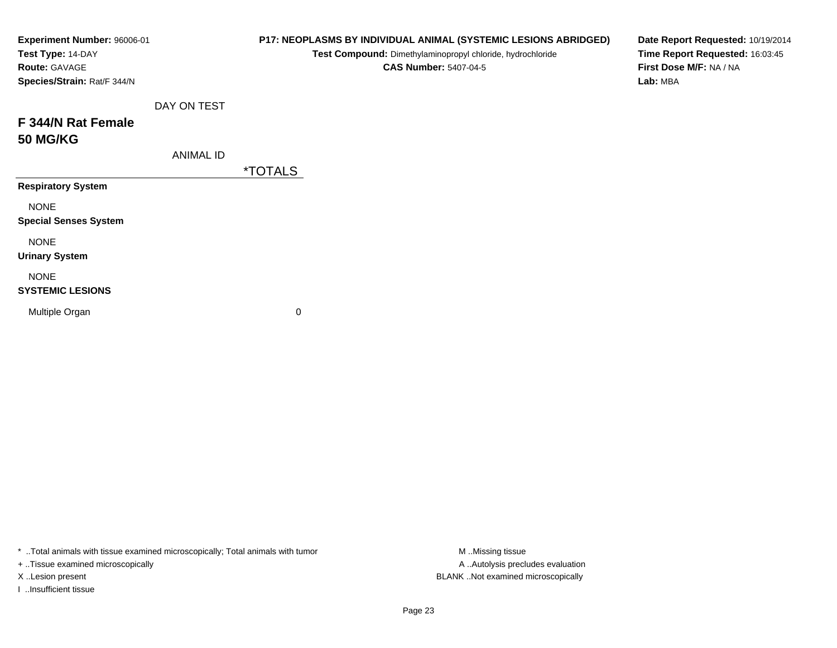| Experiment Number: 96006-01<br>Test Type: 14-DAY<br>Route: GAVAGE<br>Species/Strain: Rat/F 344/N |                  |                       | P17: NEOPLASMS BY INDIVIDUAL ANIMAL (SYSTEMIC LESIONS ABRIDGED)<br>Test Compound: Dimethylaminopropyl chloride, hydrochloride<br><b>CAS Number: 5407-04-5</b> | Date Report Requested: 10/19/2014<br>Time Report Requested: 16:03:45<br>First Dose M/F: NA / NA<br>Lab: MBA |
|--------------------------------------------------------------------------------------------------|------------------|-----------------------|---------------------------------------------------------------------------------------------------------------------------------------------------------------|-------------------------------------------------------------------------------------------------------------|
|                                                                                                  | DAY ON TEST      |                       |                                                                                                                                                               |                                                                                                             |
| F 344/N Rat Female<br><b>50 MG/KG</b>                                                            |                  |                       |                                                                                                                                                               |                                                                                                             |
|                                                                                                  | <b>ANIMAL ID</b> |                       |                                                                                                                                                               |                                                                                                             |
|                                                                                                  |                  | <i><b>*TOTALS</b></i> |                                                                                                                                                               |                                                                                                             |
| <b>Respiratory System</b>                                                                        |                  |                       |                                                                                                                                                               |                                                                                                             |
| <b>NONE</b><br><b>Special Senses System</b>                                                      |                  |                       |                                                                                                                                                               |                                                                                                             |
| <b>NONE</b><br><b>Urinary System</b>                                                             |                  |                       |                                                                                                                                                               |                                                                                                             |
| <b>NONE</b><br><b>SYSTEMIC LESIONS</b>                                                           |                  |                       |                                                                                                                                                               |                                                                                                             |
| Multiple Organ                                                                                   |                  | 0                     |                                                                                                                                                               |                                                                                                             |

+ ..Tissue examined microscopically

I ..Insufficient tissue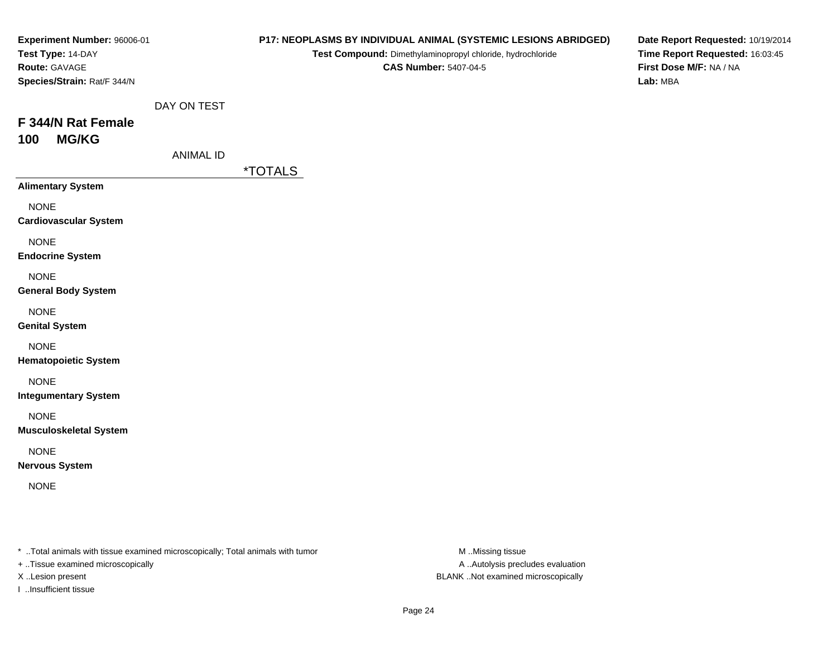| Experiment Number: 96006-01<br>Test Type: 14-DAY<br>Route: GAVAGE<br>Species/Strain: Rat/F 344/N |                                 |                       | P17: NEOPLASMS BY INDIVIDUAL ANIMAL (SYSTEMIC LESIONS ABRIDGED)<br>Test Compound: Dimethylaminopropyl chloride, hydrochloride<br><b>CAS Number: 5407-04-5</b> | Date Report Requested: 10/19/2014<br>Time Report Requested: 16:03:45<br>First Dose M/F: NA / NA<br>Lab: MBA |
|--------------------------------------------------------------------------------------------------|---------------------------------|-----------------------|---------------------------------------------------------------------------------------------------------------------------------------------------------------|-------------------------------------------------------------------------------------------------------------|
| F 344/N Rat Female<br><b>MG/KG</b><br>100                                                        | DAY ON TEST<br><b>ANIMAL ID</b> |                       |                                                                                                                                                               |                                                                                                             |
| <b>Alimentary System</b>                                                                         |                                 | <i><b>*TOTALS</b></i> |                                                                                                                                                               |                                                                                                             |
| <b>NONE</b><br><b>Cardiovascular System</b>                                                      |                                 |                       |                                                                                                                                                               |                                                                                                             |
| <b>NONE</b><br><b>Endocrine System</b>                                                           |                                 |                       |                                                                                                                                                               |                                                                                                             |
| <b>NONE</b><br><b>General Body System</b>                                                        |                                 |                       |                                                                                                                                                               |                                                                                                             |
| <b>NONE</b><br><b>Genital System</b>                                                             |                                 |                       |                                                                                                                                                               |                                                                                                             |
| <b>NONE</b><br><b>Hematopoietic System</b>                                                       |                                 |                       |                                                                                                                                                               |                                                                                                             |
| <b>NONE</b><br><b>Integumentary System</b>                                                       |                                 |                       |                                                                                                                                                               |                                                                                                             |
| <b>NONE</b><br><b>Musculoskeletal System</b>                                                     |                                 |                       |                                                                                                                                                               |                                                                                                             |
| <b>NONE</b><br><b>Nervous System</b>                                                             |                                 |                       |                                                                                                                                                               |                                                                                                             |
| <b>NONE</b>                                                                                      |                                 |                       |                                                                                                                                                               |                                                                                                             |
|                                                                                                  |                                 |                       |                                                                                                                                                               |                                                                                                             |

+ ..Tissue examined microscopically

I ..Insufficient tissue